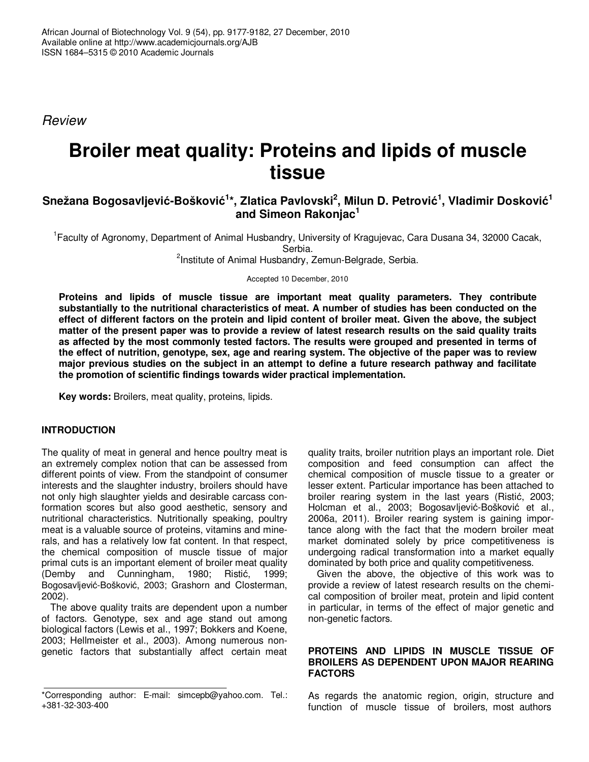Review

# **Broiler meat quality: Proteins and lipids of muscle tissue**

## $\boldsymbol{\delta}$ Snežana Bogosavljević-Bošković<sup>1</sup>\*, Zlatica Pavlovski<sup>2</sup>, Milun D. Petrović<sup>1</sup>, Vladimir Dosković<sup>1</sup> **and Simeon Rakonjac<sup>1</sup>**

<sup>1</sup> Faculty of Agronomy, Department of Animal Husbandry, University of Kragujevac, Cara Dusana 34, 32000 Cacak, Serbia.

<sup>2</sup>Institute of Animal Husbandry, Zemun-Belgrade, Serbia.

Accepted 10 December, 2010

**Proteins and lipids of muscle tissue are important meat quality parameters. They contribute substantially to the nutritional characteristics of meat. A number of studies has been conducted on the effect of different factors on the protein and lipid content of broiler meat. Given the above, the subject matter of the present paper was to provide a review of latest research results on the said quality traits as affected by the most commonly tested factors. The results were grouped and presented in terms of the effect of nutrition, genotype, sex, age and rearing system. The objective of the paper was to review major previous studies on the subject in an attempt to define a future research pathway and facilitate the promotion of scientific findings towards wider practical implementation.** 

**Key words:** Broilers, meat quality, proteins, lipids.

#### **INTRODUCTION**

The quality of meat in general and hence poultry meat is an extremely complex notion that can be assessed from different points of view. From the standpoint of consumer interests and the slaughter industry, broilers should have not only high slaughter yields and desirable carcass conformation scores but also good aesthetic, sensory and nutritional characteristics. Nutritionally speaking, poultry meat is a valuable source of proteins, vitamins and minerals, and has a relatively low fat content. In that respect, the chemical composition of muscle tissue of major primal cuts is an important element of broiler meat quality (Demby and Cunningham, 1980; Ristić, 1999; Bogosavljević-Bošković, 2003; Grashorn and Closterman, 2002).

The above quality traits are dependent upon a number of factors. Genotype, sex and age stand out among biological factors (Lewis et al., 1997; Bokkers and Koene, 2003; Hellmeister et al., 2003). Among numerous nongenetic factors that substantially affect certain meat

quality traits, broiler nutrition plays an important role. Diet composition and feed consumption can affect the chemical composition of muscle tissue to a greater or lesser extent. Particular importance has been attached to broiler rearing system in the last years (Ristić, 2003; Holcman et al., 2003; Bogosavljević-Bošković et al., 2006a, 2011). Broiler rearing system is gaining importance along with the fact that the modern broiler meat market dominated solely by price competitiveness is undergoing radical transformation into a market equally dominated by both price and quality competitiveness.

Given the above, the objective of this work was to provide a review of latest research results on the chemical composition of broiler meat, protein and lipid content in particular, in terms of the effect of major genetic and non-genetic factors.

#### **PROTEINS AND LIPIDS IN MUSCLE TISSUE OF BROILERS AS DEPENDENT UPON MAJOR REARING FACTORS**

As regards the anatomic region, origin, structure and function of muscle tissue of broilers, most authors

<sup>\*</sup>Corresponding author: E-mail: simcepb@yahoo.com. Tel.: +381-32-303-400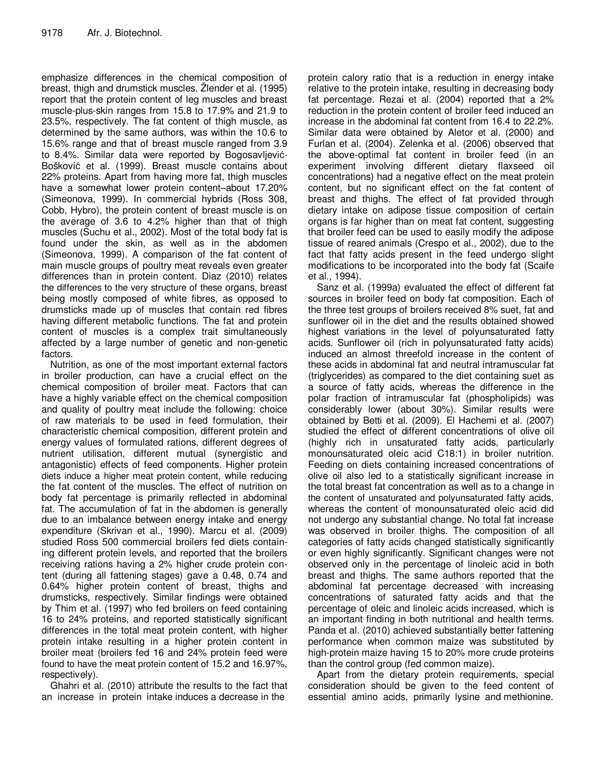emphasize differences in the chemical composition of breast, thigh and drumstick muscles. Žlender et al. (1995) report that the protein content of leg muscles and breast muscle-plus-skin ranges from 15.8 to 17.9% and 21.9 to 23.5%, respectively. The fat content of thigh muscle, as determined by the same authors, was within the 10.6 to 15.6% range and that of breast muscle ranged from 3.9 to 8.4%. Similar data were reported by Bogosavljević-Bošković et al. (1999). Breast muscle contains about 22% proteins. Apart from having more fat, thigh muscles have a somewhat lower protein content–about 17.20% (Simeonova, 1999). In commercial hybrids (Ross 308, Cobb, Hybro), the protein content of breast muscle is on the average of 3.6 to 4.2% higher than that of thigh muscles (Suchu et al., 2002). Most of the total body fat is found under the skin, as well as in the abdomen (Simeonova, 1999). A comparison of the fat content of main muscle groups of poultry meat reveals even greater differences than in protein content. Diaz (2010) relates the differences to the very structure of these organs, breast being mostly composed of white fibres, as opposed to drumsticks made up of muscles that contain red fibres having different metabolic functions. The fat and protein content of muscles is a complex trait simultaneously affected by a large number of genetic and non-genetic factors.

Nutrition, as one of the most important external factors in broiler production, can have a crucial effect on the chemical composition of broiler meat. Factors that can have a highly variable effect on the chemical composition and quality of poultry meat include the following: choice of raw materials to be used in feed formulation, their characteristic chemical composition, different protein and energy values of formulated rations, different degrees of nutrient utilisation, different mutual (synergistic and antagonistic) effects of feed components. Higher protein diets induce a higher meat protein content, while reducing the fat content of the muscles. The effect of nutrition on body fat percentage is primarily reflected in abdominal fat. The accumulation of fat in the abdomen is generally due to an imbalance between energy intake and energy expenditure (Skrivan et al., 1990). Marcu et al. (2009) studied Ross 500 commercial broilers fed diets containing different protein levels, and reported that the broilers receiving rations having a 2% higher crude protein content (during all fattening stages) gave a 0.48, 0.74 and 0.64% higher protein content of breast, thighs and drumsticks, respectively. Similar findings were obtained by Thim et al. (1997) who fed broilers on feed containing 16 to 24% proteins, and reported statistically significant differences in the total meat protein content, with higher protein intake resulting in a higher protein content in broiler meat (broilers fed 16 and 24% protein feed were found to have the meat protein content of 15.2 and 16.97%, respectively).

Ghahri et al. (2010) attribute the results to the fact that an increase in protein intake induces a decrease in the

protein calory ratio that is a reduction in energy intake relative to the protein intake, resulting in decreasing body fat percentage. Rezai et al. (2004) reported that a 2% reduction in the protein content of broiler feed induced an increase in the abdominal fat content from 16.4 to 22.2%. Similar data were obtained by Aletor et al. (2000) and Furlan et al. (2004). Zelenka et al. (2006) observed that the above-optimal fat content in broiler feed (in an experiment involving different dietary flaxseed oil concentrations) had a negative effect on the meat protein content, but no significant effect on the fat content of breast and thighs. The effect of fat provided through dietary intake on adipose tissue composition of certain organs is far higher than on meat fat content, suggesting that broiler feed can be used to easily modify the adipose tissue of reared animals (Crespo et al., 2002), due to the fact that fatty acids present in the feed undergo slight modifications to be incorporated into the body fat (Scaife et al., 1994).

Sanz et al. (1999a) evaluated the effect of different fat sources in broiler feed on body fat composition. Each of the three test groups of broilers received 8% suet, fat and sunflower oil in the diet and the results obtained showed highest variations in the level of polyunsaturated fatty acids. Sunflower oil (rich in polyunsaturated fatty acids) induced an almost threefold increase in the content of these acids in abdominal fat and neutral intramuscular fat (triglycerides) as compared to the diet containing suet as a source of fatty acids, whereas the difference in the polar fraction of intramuscular fat (phospholipids) was considerably lower (about 30%). Similar results were obtained by Betti et al. (2009). El Hachemi et al. (2007) studied the effect of different concentrations of olive oil (highly rich in unsaturated fatty acids, particularly monounsaturated oleic acid C18:1) in broiler nutrition. Feeding on diets containing increased concentrations of olive oil also led to a statistically significant increase in the total breast fat concentration as well as to a change in the content of unsaturated and polyunsaturated fatty acids, whereas the content of monounsaturated oleic acid did not undergo any substantial change. No total fat increase was observed in broiler thighs. The composition of all categories of fatty acids changed statistically significantly or even highly significantly. Significant changes were not observed only in the percentage of linoleic acid in both breast and thighs. The same authors reported that the abdominal fat percentage decreased with increasing concentrations of saturated fatty acids and that the percentage of oleic and linoleic acids increased, which is an important finding in both nutritional and health terms. Panda et al. (2010) achieved substantially better fattening performance when common maize was substituted by high-protein maize having 15 to 20% more crude proteins than the control group (fed common maize).

Apart from the dietary protein requirements, special consideration should be given to the feed content of essential amino acids, primarily lysine and methionine.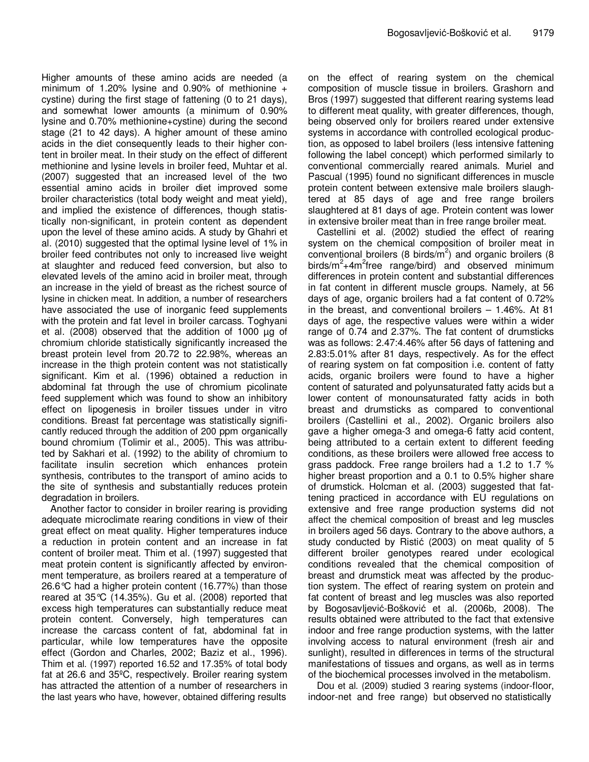Higher amounts of these amino acids are needed (a minimum of 1.20% lysine and 0.90% of methionine  $+$ cystine) during the first stage of fattening (0 to 21 days), and somewhat lower amounts (a minimum of 0.90% lysine and 0.70% methionine+cystine) during the second stage (21 to 42 days). A higher amount of these amino acids in the diet consequently leads to their higher content in broiler meat. In their study on the effect of different methionine and lysine levels in broiler feed, Muhtar et al. (2007) suggested that an increased level of the two essential amino acids in broiler diet improved some broiler characteristics (total body weight and meat yield), and implied the existence of differences, though statistically non-significant, in protein content as dependent upon the level of these amino acids. A study by Ghahri et al. (2010) suggested that the optimal lysine level of 1% in broiler feed contributes not only to increased live weight at slaughter and reduced feed conversion, but also to elevated levels of the amino acid in broiler meat, through an increase in the yield of breast as the richest source of lysine in chicken meat. In addition, a number of researchers have associated the use of inorganic feed supplements with the protein and fat level in broiler carcass. Toghyani et al. (2008) observed that the addition of 1000 µg of chromium chloride statistically significantly increased the breast protein level from 20.72 to 22.98%, whereas an increase in the thigh protein content was not statistically significant. Kim et al. (1996) obtained a reduction in abdominal fat through the use of chromium picolinate feed supplement which was found to show an inhibitory effect on lipogenesis in broiler tissues under in vitro conditions. Breast fat percentage was statistically significantly reduced through the addition of 200 ppm organically bound chromium (Tolimir et al., 2005). This was attributed by Sakhari et al. (1992) to the ability of chromium to facilitate insulin secretion which enhances protein synthesis, contributes to the transport of amino acids to the site of synthesis and substantially reduces protein degradation in broilers.

Another factor to consider in broiler rearing is providing adequate microclimate rearing conditions in view of their great effect on meat quality. Higher temperatures induce a reduction in protein content and an increase in fat content of broiler meat. Thim et al. (1997) suggested that meat protein content is significantly affected by environment temperature, as broilers reared at a temperature of 26.6°C had a higher protein content (16.77%) than those reared at 35°C (14.35%). Gu et al. (2008) reported that excess high temperatures can substantially reduce meat protein content. Conversely, high temperatures can increase the carcass content of fat, abdominal fat in particular, while low temperatures have the opposite effect (Gordon and Charles, 2002; Baziz et al., 1996). Thim et al. (1997) reported 16.52 and 17.35% of total body fat at 26.6 and 35ºC, respectively. Broiler rearing system has attracted the attention of a number of researchers in the last years who have, however, obtained differing results

on the effect of rearing system on the chemical composition of muscle tissue in broilers. Grashorn and Bros (1997) suggested that different rearing systems lead to different meat quality, with greater differences, though, being observed only for broilers reared under extensive systems in accordance with controlled ecological production, as opposed to label broilers (less intensive fattening following the label concept) which performed similarly to conventional commercially reared animals. Muriel and Pascual (1995) found no significant differences in muscle protein content between extensive male broilers slaughtered at 85 days of age and free range broilers slaughtered at 81 days of age. Protein content was lower in extensive broiler meat than in free range broiler meat.

Castellini et al. (2002) studied the effect of rearing system on the chemical composition of broiler meat in conventional broilers (8 birds/ $\overline{m}^2$ ) and organic broilers (8 birds/m<sup>2</sup>+4m<sup>2</sup>free range/bird) and observed minimum differences in protein content and substantial differences in fat content in different muscle groups. Namely, at 56 days of age, organic broilers had a fat content of 0.72% in the breast, and conventional broilers – 1.46%. At 81 days of age, the respective values were within a wider range of 0.74 and 2.37%. The fat content of drumsticks was as follows: 2.47:4.46% after 56 days of fattening and 2.83:5.01% after 81 days, respectively. As for the effect of rearing system on fat composition i.e. content of fatty acids, organic broilers were found to have a higher content of saturated and polyunsaturated fatty acids but a lower content of monounsaturated fatty acids in both breast and drumsticks as compared to conventional broilers (Castellini et al., 2002). Organic broilers also gave a higher omega-3 and omega-6 fatty acid content, being attributed to a certain extent to different feeding conditions, as these broilers were allowed free access to grass paddock. Free range broilers had a 1.2 to 1.7 % higher breast proportion and a 0.1 to 0.5% higher share of drumstick. Holcman et al. (2003) suggested that fattening practiced in accordance with EU regulations on extensive and free range production systems did not affect the chemical composition of breast and leg muscles in broilers aged 56 days. Contrary to the above authors, a study conducted by Ristić (2003) on meat quality of 5 different broiler genotypes reared under ecological conditions revealed that the chemical composition of breast and drumstick meat was affected by the production system. The effect of rearing system on protein and fat content of breast and leg muscles was also reported by Bogosavljević-Bošković et al. (2006b, 2008). The results obtained were attributed to the fact that extensive indoor and free range production systems, with the latter involving access to natural environment (fresh air and sunlight), resulted in differences in terms of the structural manifestations of tissues and organs, as well as in terms of the biochemical processes involved in the metabolism.

Dou et al. (2009) studied 3 rearing systems (indoor-floor, indoor-net and free range) but observed no statistically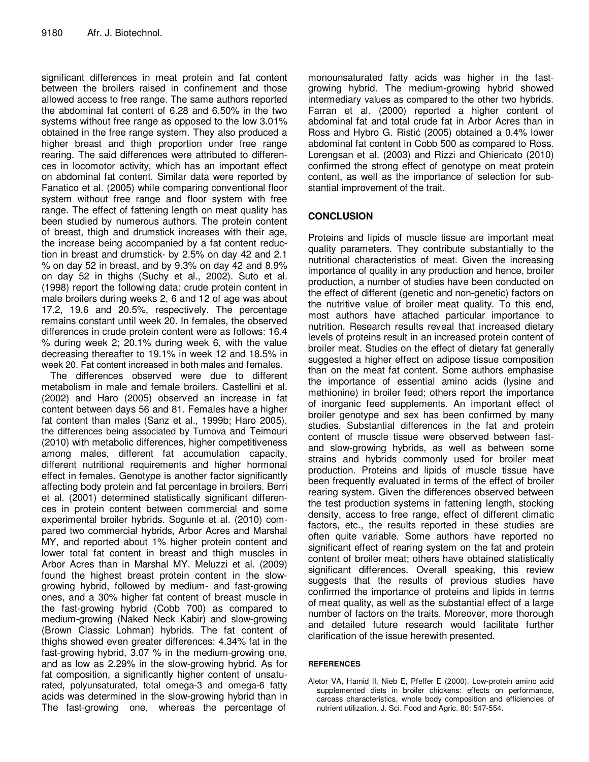significant differences in meat protein and fat content between the broilers raised in confinement and those allowed access to free range. The same authors reported the abdominal fat content of 6.28 and 6.50% in the two systems without free range as opposed to the low 3.01% obtained in the free range system. They also produced a higher breast and thigh proportion under free range rearing. The said differences were attributed to differences in locomotor activity, which has an important effect on abdominal fat content. Similar data were reported by Fanatico et al. (2005) while comparing conventional floor system without free range and floor system with free range. The effect of fattening length on meat quality has been studied by numerous authors. The protein content of breast, thigh and drumstick increases with their age, the increase being accompanied by a fat content reduction in breast and drumstick- by 2.5% on day 42 and 2.1 % on day 52 in breast, and by 9.3% on day 42 and 8.9% on day 52 in thighs (Suchy et al., 2002). Suto et al. (1998) report the following data: crude protein content in male broilers during weeks 2, 6 and 12 of age was about 17.2, 19.6 and 20.5%, respectively. The percentage remains constant until week 20. In females, the observed differences in crude protein content were as follows: 16.4 % during week 2; 20.1% during week 6, with the value decreasing thereafter to 19.1% in week 12 and 18.5% in week 20. Fat content increased in both males and females.

The differences observed were due to different metabolism in male and female broilers. Castellini et al. (2002) and Haro (2005) observed an increase in fat content between days 56 and 81. Females have a higher fat content than males (Sanz et al., 1999b; Haro 2005), the differences being associated by Tumova and Teimouri (2010) with metabolic differences, higher competitiveness among males, different fat accumulation capacity, different nutritional requirements and higher hormonal effect in females. Genotype is another factor significantly affecting body protein and fat percentage in broilers. Berri et al. (2001) determined statistically significant differences in protein content between commercial and some experimental broiler hybrids. Sogunle et al. (2010) compared two commercial hybrids, Arbor Acres and Marshal MY, and reported about 1% higher protein content and lower total fat content in breast and thigh muscles in Arbor Acres than in Marshal MY. Meluzzi et al. (2009) found the highest breast protein content in the slowgrowing hybrid, followed by medium- and fast-growing ones, and a 30% higher fat content of breast muscle in the fast-growing hybrid (Cobb 700) as compared to medium-growing (Naked Neck Kabir) and slow-growing (Brown Classic Lohman) hybrids. The fat content of thighs showed even greater differences: 4.34% fat in the fast-growing hybrid, 3.07 % in the medium-growing one, and as low as 2.29% in the slow-growing hybrid. As for fat composition, a significantly higher content of unsaturated, polyunsaturated, total omega-3 and omega-6 fatty acids was determined in the slow-growing hybrid than in The fast-growing one, whereas the percentage of

monounsaturated fatty acids was higher in the fastgrowing hybrid. The medium-growing hybrid showed intermediary values as compared to the other two hybrids. Farran et al. (2000) reported a higher content of abdominal fat and total crude fat in Arbor Acres than in Ross and Hybro G. Ristić (2005) obtained a 0.4% lower abdominal fat content in Cobb 500 as compared to Ross. Lorengsan et al. (2003) and Rizzi and Chiericato (2010) confirmed the strong effect of genotype on meat protein content, as well as the importance of selection for substantial improvement of the trait.

### **CONCLUSION**

Proteins and lipids of muscle tissue are important meat quality parameters. They contribute substantially to the nutritional characteristics of meat. Given the increasing importance of quality in any production and hence, broiler production, a number of studies have been conducted on the effect of different (genetic and non-genetic) factors on the nutritive value of broiler meat quality. To this end, most authors have attached particular importance to nutrition. Research results reveal that increased dietary levels of proteins result in an increased protein content of broiler meat. Studies on the effect of dietary fat generally suggested a higher effect on adipose tissue composition than on the meat fat content. Some authors emphasise the importance of essential amino acids (lysine and methionine) in broiler feed; others report the importance of inorganic feed supplements. An important effect of broiler genotype and sex has been confirmed by many studies. Substantial differences in the fat and protein content of muscle tissue were observed between fastand slow-growing hybrids, as well as between some strains and hybrids commonly used for broiler meat production. Proteins and lipids of muscle tissue have been frequently evaluated in terms of the effect of broiler rearing system. Given the differences observed between the test production systems in fattening length, stocking density, access to free range, effect of different climatic factors, etc., the results reported in these studies are often quite variable. Some authors have reported no significant effect of rearing system on the fat and protein content of broiler meat; others have obtained statistically significant differences. Overall speaking, this review suggests that the results of previous studies have confirmed the importance of proteins and lipids in terms of meat quality, as well as the substantial effect of a large number of factors on the traits. Moreover, more thorough and detailed future research would facilitate further clarification of the issue herewith presented.

#### **REFERENCES**

Aletor VA, Hamid II, Nieb E, Pfeffer E (2000). Low-protein amino acid supplemented diets in broiler chickens: effects on performance, carcass characteristics, whole body composition and efficiencies of nutrient utilization. J. Sci. Food and Agric. 80: 547-554.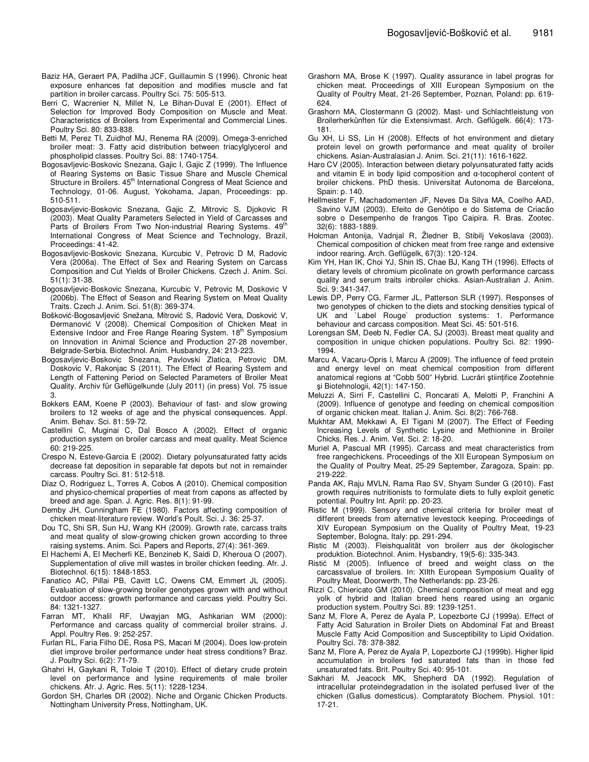- Baziz HA, Geraert PA, Padilha JCF, Guillaumin S (1996). Chronic heat exposure enhances fat deposition and modifies muscle and fat partition in broiler carcass. Poultry Sci. 75: 505-513.
- Berri C, Wacrenier N, Millet N, Le Bihan-Duval E (2001). Effect of Selection for Improved Body Composition on Muscle and Meat. Characteristics of Broilers from Experimental and Commercial Lines. Poultry Sci. 80: 833-838.
- Betti M, Perez TI, Zuidhof MJ, Renema RA (2009). Omega-3-enriched broiler meat: 3. Fatty acid distribution between triacylglycerol and phospholipid classes. Poultry Sci. 88: 1740-1754.
- Bogosavljevic-Boskovic Snezana, Gajic I, Gajic Z (1999). The Influence of Rearing Systems on Basic Tissue Share and Muscle Chemical Structure in Broilers. 45<sup>th</sup> International Congress of Meat Science and Technology, 01-06. August, Yokohama, Japan, Proceedings: pp. 510-511.
- Bogosavljevic-Boskovic Snezana, Gajic Z, Mitrovic S, Djokovic R (2003). Meat Quality Parameters Selected in Yield of Carcasses and Parts of Broilers From Two Non-industrial Rearing Systems. 49<sup>th</sup> International Congress of Meat Science and Technology, Brazil, Proceedings: 41-42.
- Bogosavljevic-Boskovic Snezana, Kurcubic V, Petrovic D M, Radovic Vera (2006a). The Effect of Sex and Rearing System on Carcass Composition and Cut Yields of Broiler Chickens. Czech J. Anim. Sci. 51(1): 31-38.
- Bogosavljevic-Boskovic Snezana, Kurcubic V, Petrovic M, Doskovic V (2006b). The Effect of Season and Rearing System on Meat Quality Traits. Czech J. Anim. Sci. 51(8): 369-374.
- Bošković-Bogosavljević Snežana, Mitrović S, Radović Vera, Dosković V, ðermanović V (2008). Chemical Composition of Chicken Meat in Extensive Indoor and Free Range Rearing System. 18<sup>th</sup> Symposium on Innovation in Animal Science and Production 27-28 november, Belgrade-Serbia. Biotechnol. Anim. Husbandry, 24: 213-223.
- Bogosavljevic-Boskovic Snezana, Pavlovski Zlatica, Petrovic DM, Doskovic V, Rakonjac S (2011). The Effect of Rearing System and Length of Fattening Period on Selected Parameters of Broiler Meat Quality. Archiv für Geflügelkunde (July 2011) (in press) Vol. 75 issue 3.
- Bokkers EAM, Koene P (2003). Behaviour of fast- and slow growing broilers to 12 weeks of age and the physical consequences. Appl. Anim. Behav. Sci. 81: 59-72.
- Castellini C, Muginai C, Dal Bosco A (2002). Effect of organic production system on broiler carcass and meat quality. Meat Science 60: 219-225.
- Crespo N, Esteve-Garcia E (2002). Dietary polyunsaturated fatty acids decrease fat deposition in separable fat depots but not in remainder carcass. Poultry Sci. 81: 512-518.
- Diaz O, Rodriguez L, Torres A, Cobos A (2010). Chemical composition and physico-chemical properties of meat from capons as affected by breed and age. Span. J. Agric. Res. 8(1): 91-99.
- Demby JH, Cunningham FE (1980). Factors affecting composition of chicken meat-literature review. World's Poult. Sci. J. 36: 25-37.
- Dou TC, Shi SR, Sun HJ, Wang KH (2009). Growth rate, carcass traits and meat quality of slow-growing chicken grown according to three raising systems. Anim. Sci. Papers and Reports, 27(4): 361-369.
- El Hachemi A, El Mecherfi KE, Benzineb K, Saidi D, Kheroua O (2007). Supplementation of olive mill wastes in broiler chicken feeding. Afr. J. Biotechnol. 6(15): 1848-1853.
- Fanatico AC, Pillai PB, Cavitt LC, Owens CM, Emmert JL (2005). Evaluation of slow-growing broiler genotypes grown with and without outdoor access: growth performance and carcass yield. Poultry Sci. 84: 1321-1327.
- Farran MT, Khalil RF, Uwayjan MG, Ashkarian WM (2000): Performance and carcass quality of commercial broiler strains. J. Appl. Poultry Res. 9: 252-257.
- Furlan RL, Faria Filho DE, Rosa PS, Macari M (2004). Does low-protein diet improve broiler performance under heat stress conditions? Braz. J. Poultry Sci. 6(2): 71-79.
- Ghahri H, Gaykani R, Toloie T (2010). Effect of dietary crude protein level on performance and lysine requirements of male broiler chickens. Afr. J. Agric. Res. 5(11): 1228-1234.
- Gordon SH, Charles DR (2002). Niche and Organic Chicken Products. Nottingham University Press, Nottingham, UK.
- Grashorn MA, Brose K (1997). Quality assurance in label progras for chicken meat. Proceedings of XIII European Symposium on the Quality of Poultry Meat, 21-26 September, Poznan, Poland: pp. 619- 624.
- Grashorn MA, Clostermann G (2002). Mast- und Schlachtleistung von Broilerherkünften für die Extensivmast. Arch. Geflügelk. 66(4): 173- 181.
- Gu XH, Li SS, Lin H (2008). Effects of hot environment and dietary protein level on growth performance and meat quality of broiler chickens. Asian-Australasian J. Anim. Sci. 21(11): 1616-1622.
- Haro CV (2005). Interaction between dietary polyunsaturated fatty acids and vitamin E in body lipid composition and α-tocopherol content of broiler chickens. PhD thesis. Universitat Autonoma de Barcelona, Spain: p. 140.
- Hellmeister F, Machadomenten JF, Neves Da Silva MA, Coelho AAD, Savino VJM (2003). Efeito de Genótipo e do Sistema de Criacâo sobre o Desempenho de frangos Tipo Caipira. R. Bras. Zootec. 32(6): 1883-1889.
- Holcman Antonija, Vadnjal R, Žledner B, Stibilj Vekoslava (2003). Chemical composition of chicken meat from free range and extensive indoor rearing. Arch. Geflügelk, 67(3): 120-124.
- Kim YH, Han IK, Choi YJ, Shin IS, Chae BJ, Kang TH (1996). Effects of dietary levels of chromium picolinate on growth performance carcass quality and serum traits inbroiler chicks. Asian-Australian J. Anim. Sci. 9: 341-347.
- Lewis DP, Perry CG, Farmer JL, Patterson SLR (1997). Responses of two genotypes of chicken to the diets and stocking densities typical of UK and `Label Rouge` production systems: 1. Performance behaviour and carcass composition. Meat Sci. 45: 501-516.
- Lorengsan SM, Deeb N, Fedler CA, SJ (2003). Breast meat quality and composition in unique chicken populations. Poultry Sci. 82: 1990- 1994.
- Marcu A, Vacaru-Opris I, Marcu A (2009). The influence of feed protein and energy level on meat chemical composition from different anatomical regions at "Cobb 500" Hybrid. Lucrări științifice Zootehnie şi Biotehnologii, 42(1): 147-150.
- Meluzzi A, Sirri F, Castellini C, Roncarati A, Melotti P, Franchini A (2009). Influence of genotype and feeding on chemical composition of organic chicken meat. Italian J. Anim. Sci. 8(2): 766-768.
- Mukhtar AM, Mekkawi A, EI Tigani M (2007). The Effect of Feeding Increasing Levels of Synthetic Lysine and Methionine in Broiler Chicks. Res. J. Anim. Vet. Sci. 2: 18-20.
- Muriel A, Pascual MR (1995). Carcass and meat characteristics from free rangechickens. Proceedings of the XII European Symposium on the Quality of Poultry Meat, 25-29 September, Zaragoza, Spain: pp. 219-222.
- Panda AK, Raju MVLN, Rama Rao SV, Shyam Sunder G (2010). Fast growth requires nutritionists to formulate diets to fully exploit genetic potential. Poultry Int. April: pp. 20-23.
- Ristic M (1999). Sensory and chemical criteria for broiler meat of different breeds from alternative levestock keeping. Proceedings of XIV European Symposium on the Quality of Poultry Meat, 19-23 September, Bologna, Italy: pp. 291-294.
- Ristic M (2003). Fleishqualität von broilerr aus der ökologischer produktion. Biotechnol. Anim. Hysbandry, 19(5-6): 335-343.
- Ristić M (2005). Influence of breed and weight class on the carcassvalue of broilers. In: XIIth European Symposium Quality of Poultry Meat, Doorwerth, The Netherlands: pp. 23-26.
- Rizzi C, Chiericato GM (2010). Chemical composition of meat and egg yolk of hybrid and Italian breed hens reared using an organic production system. Poultry Sci. 89: 1239-1251.
- Sanz M, Flore A, Perez de Ayala P, Lopezborte CJ (1999a). Effect of Fatty Acid Saturation in Broiler Diets on Abdominal Fat and Breast Muscle Fatty Acid Composition and Susceptibility to Lipid Oxidation. Poultry Sci. 78: 378-382.
- Sanz M, Flore A, Perez de Ayala P, Lopezborte CJ (1999b). Higher lipid accumulation in broilers fed saturated fats than in those fed unsaturated fats. Brit. Poultry Sci. 40: 95-101.
- Sakhari M, Jeacock MK, Shepherd DA (1992). Regulation of intracellular proteindegradation in the isolated perfused liver of the chicken (Gallus domesticus). Comptaratoty Biochem. Physiol. 101: 17-21.